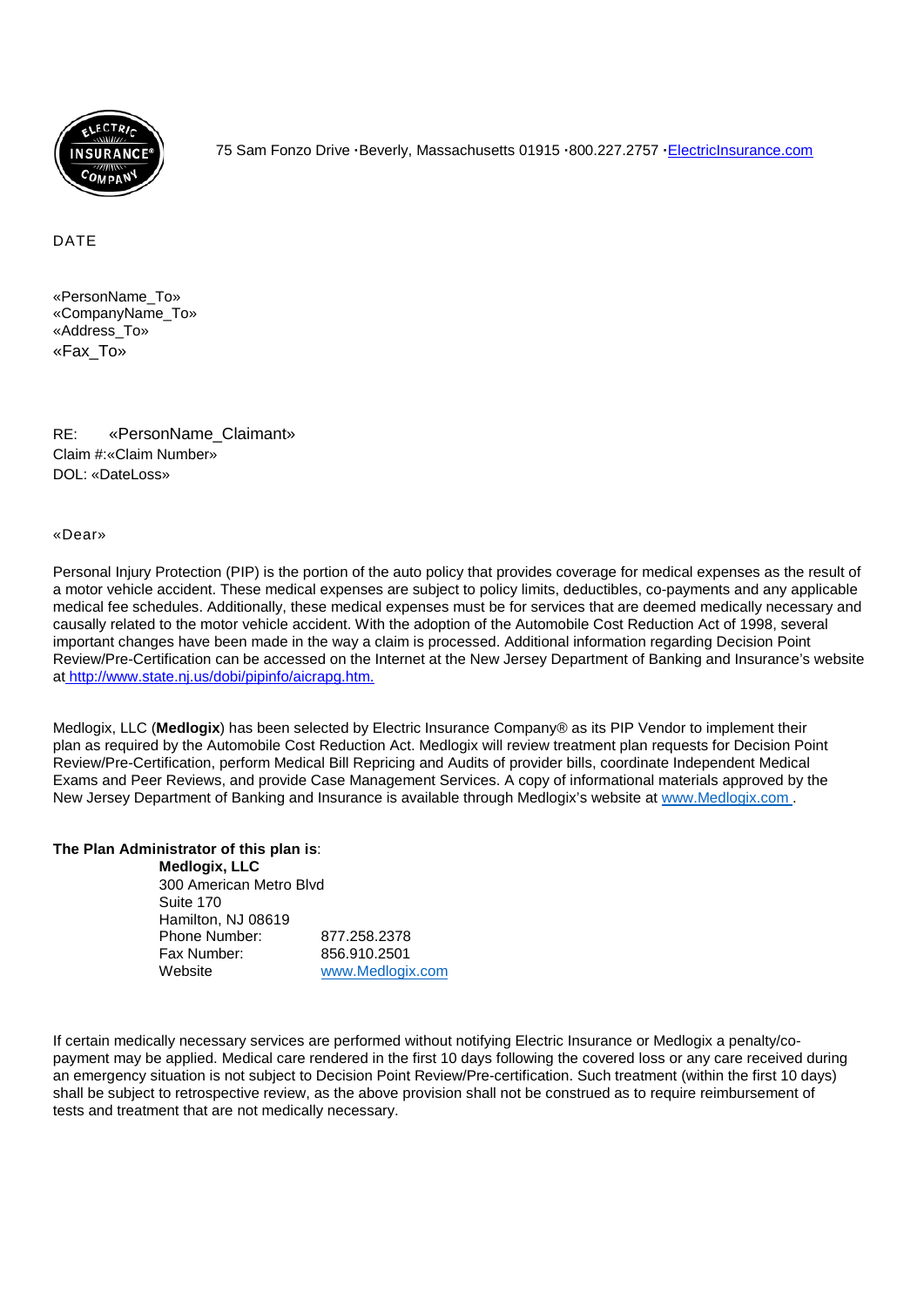

75 Sam Fonzo Drive **·**Beverly, Massachusetts 01915 **·**800.227.2757 **·**[ElectricInsurance.com](http://electricinsurance.com/)

#### DATE

«PersonName\_To» «CompanyName\_To» «Address\_To» «Fax\_To»

RE: «PersonName\_Claimant» Claim #:«Claim Number» DOL: «DateLoss»

#### «Dear»

Personal Injury Protection (PIP) is the portion of the auto policy that provides coverage for medical expenses as the result of a motor vehicle accident. These medical expenses are subject to policy limits, deductibles, co-payments and any applicable medical fee schedules. Additionally, these medical expenses must be for services that are deemed medically necessary and causally related to the motor vehicle accident. With the adoption of the Automobile Cost Reduction Act of 1998, several important changes have been made in the way a claim is processed. Additional information regarding Decision Point Review/Pre-Certification can be accessed on the Internet at the New Jersey Department of Banking and Insurance's website at <http://www.state.nj.us/dobi/pipinfo/aicrapg.htm.>

Medlogix, LLC (**Medlogix**) has been selected by Electric Insurance Company® as its PIP Vendor to implement their plan as required by the Automobile Cost Reduction Act. Medlogix will review treatment plan requests for Decision Point Review/Pre-Certification, perform Medical Bill Repricing and Audits of provider bills, coordinate Independent Medical Exams and Peer Reviews, and provide Case Management Services. A copy of informational materials approved by the New Jersey Department of Banking and Insurance is available through Medlogix's website at www.Medlogix.com .

#### **The Plan Administrator of this plan is**:

**Medlogix, LLC** 300 American Metro Blvd Suite 170 Hamilton, NJ 08619 Phone Number: 877.258.2378 Fax Number: 856.910.2501 Website [www.Medlogix.com](http://www.medlogix.com/)

If certain medically necessary services are performed without notifying Electric Insurance or Medlogix a penalty/copayment may be applied. Medical care rendered in the first 10 days following the covered loss or any care received during an emergency situation is not subject to Decision Point Review/Pre-certification. Such treatment (within the first 10 days) shall be subject to retrospective review, as the above provision shall not be construed as to require reimbursement of tests and treatment that are not medically necessary.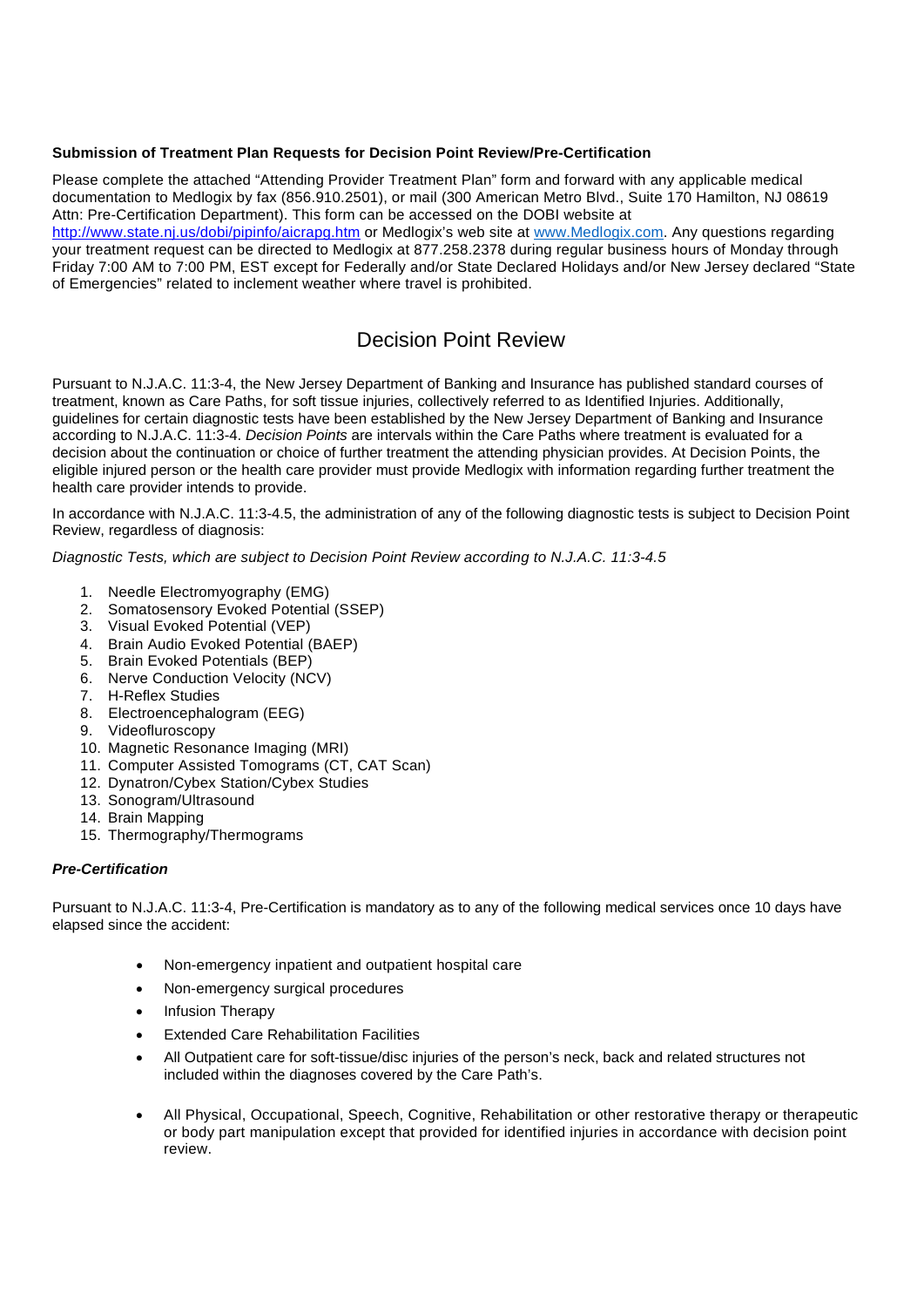#### **Submission of Treatment Plan Requests for Decision Point Review/Pre-Certification**

Please complete the attached "Attending Provider Treatment Plan" form and forward with any applicable medical documentation to Medlogix by fax (856.910.2501), or mail (300 American Metro Blvd., Suite 170 Hamilton, NJ 08619 Attn: Pre-Certification Department). This form can be accessed on the DOBI website at

<http://www.state.nj.us/dobi/pipinfo/aicrapg.htm> or Medlogix's web site at [www.Medlogix.com.](http://www.medlogix.com/) Any questions regarding your treatment request can be directed to Medlogix at 877.258.2378 during regular business hours of Monday through Friday 7:00 AM to 7:00 PM, EST except for Federally and/or State Declared Holidays and/or New Jersey declared "State of Emergencies" related to inclement weather where travel is prohibited.

## Decision Point Review

Pursuant to N.J.A.C. 11:3-4, the New Jersey Department of Banking and Insurance has published standard courses of treatment, known as Care Paths, for soft tissue injuries, collectively referred to as Identified Injuries. Additionally, guidelines for certain diagnostic tests have been established by the New Jersey Department of Banking and Insurance according to N.J.A.C. 11:3-4. *Decision Points* are intervals within the Care Paths where treatment is evaluated for a decision about the continuation or choice of further treatment the attending physician provides. At Decision Points, the eligible injured person or the health care provider must provide Medlogix with information regarding further treatment the health care provider intends to provide.

In accordance with N.J.A.C. 11:3-4.5, the administration of any of the following diagnostic tests is subject to Decision Point Review, regardless of diagnosis:

*Diagnostic Tests, which are subject to Decision Point Review according to N.J.A.C. 11:3-4.5*

- 1. Needle Electromyography (EMG)
- 2. Somatosensory Evoked Potential (SSEP)
- 3. Visual Evoked Potential (VEP)
- 4. Brain Audio Evoked Potential (BAEP)
- 5. Brain Evoked Potentials (BEP)
- 6. Nerve Conduction Velocity (NCV)
- 7. H-Reflex Studies
- 8. Electroencephalogram (EEG)
- 9. Videofluroscopy
- 10. Magnetic Resonance Imaging (MRI)
- 11. Computer Assisted Tomograms (CT, CAT Scan)
- 12. Dynatron/Cybex Station/Cybex Studies
- 13. Sonogram/Ultrasound
- 14. Brain Mapping
- 15. Thermography/Thermograms

#### *Pre-Certification*

Pursuant to N.J.A.C. 11:3-4, Pre-Certification is mandatory as to any of the following medical services once 10 days have elapsed since the accident:

- Non-emergency inpatient and outpatient hospital care
- Non-emergency surgical procedures
- Infusion Therapy
- Extended Care Rehabilitation Facilities
- All Outpatient care for soft-tissue/disc injuries of the person's neck, back and related structures not included within the diagnoses covered by the Care Path's.
- All Physical, Occupational, Speech, Cognitive, Rehabilitation or other restorative therapy or therapeutic or body part manipulation except that provided for identified injuries in accordance with decision point review.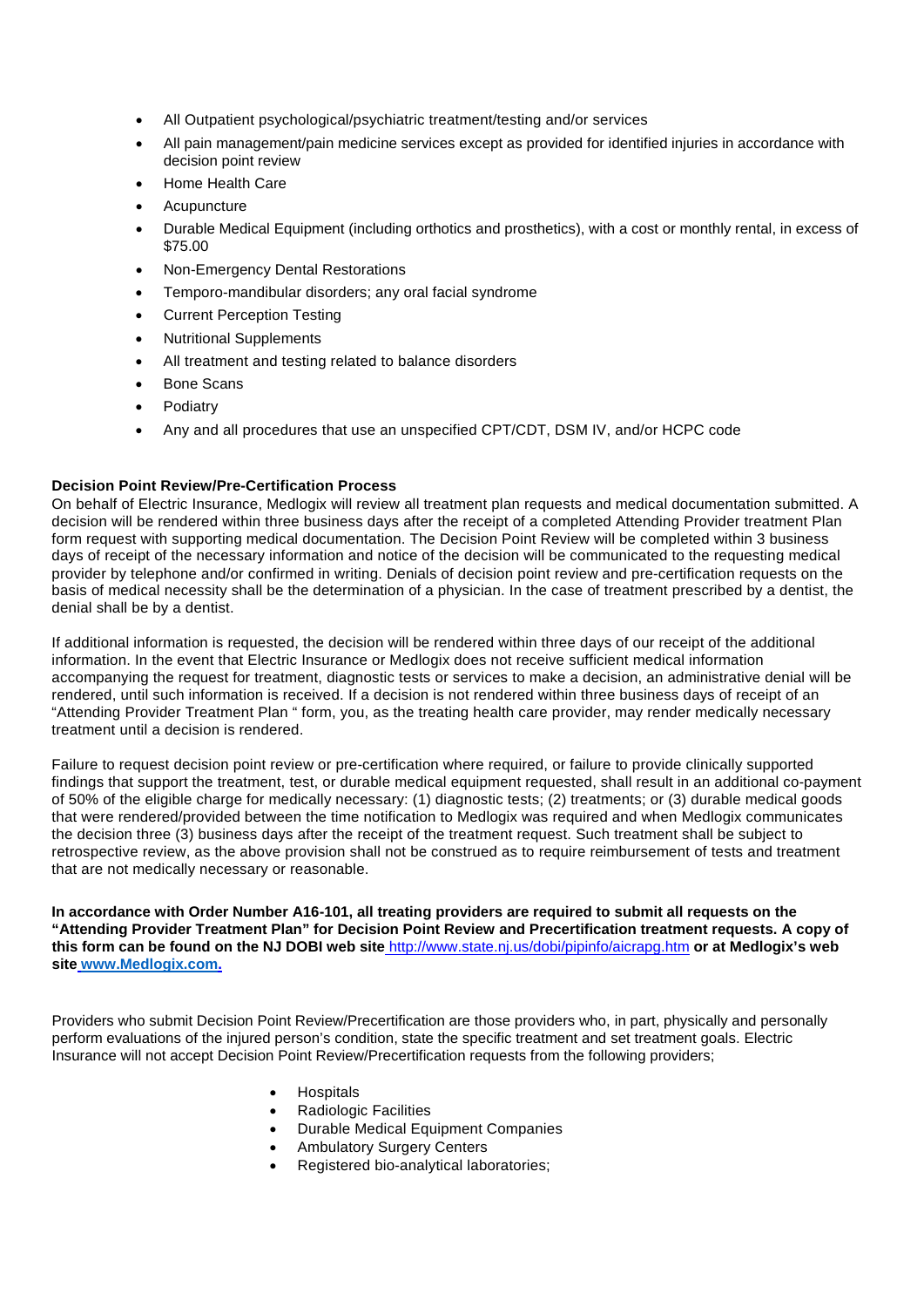- All Outpatient psychological/psychiatric treatment/testing and/or services
- All pain management/pain medicine services except as provided for identified injuries in accordance with decision point review
- Home Health Care
- **Acupuncture**
- Durable Medical Equipment (including orthotics and prosthetics), with a cost or monthly rental, in excess of \$75.00
- Non-Emergency Dental Restorations
- Temporo-mandibular disorders; any oral facial syndrome
- Current Perception Testing
- Nutritional Supplements
- All treatment and testing related to balance disorders
- Bone Scans
- **Podiatry**
- Any and all procedures that use an unspecified CPT/CDT, DSM IV, and/or HCPC code

#### **Decision Point Review/Pre-Certification Process**

On behalf of Electric Insurance, Medlogix will review all treatment plan requests and medical documentation submitted. A decision will be rendered within three business days after the receipt of a completed Attending Provider treatment Plan form request with supporting medical documentation. The Decision Point Review will be completed within 3 business days of receipt of the necessary information and notice of the decision will be communicated to the requesting medical provider by telephone and/or confirmed in writing. Denials of decision point review and pre-certification requests on the basis of medical necessity shall be the determination of a physician. In the case of treatment prescribed by a dentist, the denial shall be by a dentist.

If additional information is requested, the decision will be rendered within three days of our receipt of the additional information. In the event that Electric Insurance or Medlogix does not receive sufficient medical information accompanying the request for treatment, diagnostic tests or services to make a decision, an administrative denial will be rendered, until such information is received. If a decision is not rendered within three business days of receipt of an "Attending Provider Treatment Plan " form, you, as the treating health care provider, may render medically necessary treatment until a decision is rendered.

Failure to request decision point review or pre-certification where required, or failure to provide clinically supported findings that support the treatment, test, or durable medical equipment requested, shall result in an additional co-payment of 50% of the eligible charge for medically necessary: (1) diagnostic tests; (2) treatments; or (3) durable medical goods that were rendered/provided between the time notification to Medlogix was required and when Medlogix communicates the decision three (3) business days after the receipt of the treatment request. Such treatment shall be subject to retrospective review, as the above provision shall not be construed as to require reimbursement of tests and treatment that are not medically necessary or reasonable.

**In accordance with Order Number A16-101, all treating providers are required to submit all requests on the "Attending Provider Treatment Plan" for Decision Point Review and Precertification treatment requests. A copy of this form can be found on the NJ DOBI web site** <http://www.state.nj.us/dobi/pipinfo/aicrapg.htm> **or at Medlogix's web site [www.Medlogix.com.](http://www.medlogix.com/)**

Providers who submit Decision Point Review/Precertification are those providers who, in part, physically and personally perform evaluations of the injured person's condition, state the specific treatment and set treatment goals. Electric Insurance will not accept Decision Point Review/Precertification requests from the following providers;

- **Hospitals**
- Radiologic Facilities
- Durable Medical Equipment Companies
- Ambulatory Surgery Centers
- Registered bio-analytical laboratories;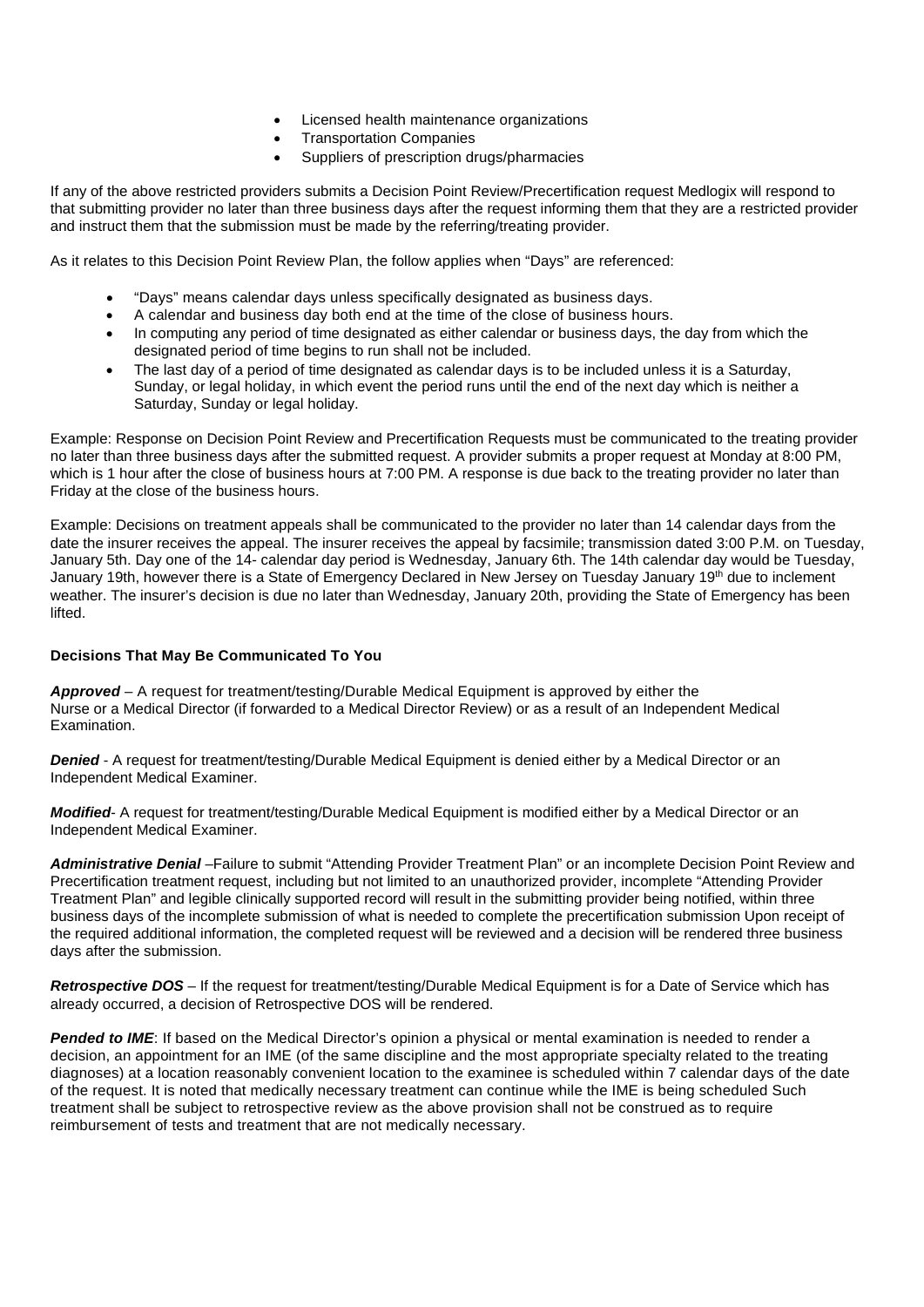- Licensed health maintenance organizations
- Transportation Companies
- Suppliers of prescription drugs/pharmacies

If any of the above restricted providers submits a Decision Point Review/Precertification request Medlogix will respond to that submitting provider no later than three business days after the request informing them that they are a restricted provider and instruct them that the submission must be made by the referring/treating provider.

As it relates to this Decision Point Review Plan, the follow applies when "Days" are referenced:

- "Days" means calendar days unless specifically designated as business days.
- A calendar and business day both end at the time of the close of business hours.
- In computing any period of time designated as either calendar or business days, the day from which the designated period of time begins to run shall not be included.
- The last day of a period of time designated as calendar days is to be included unless it is a Saturday, Sunday, or legal holiday, in which event the period runs until the end of the next day which is neither a Saturday, Sunday or legal holiday.

Example: Response on Decision Point Review and Precertification Requests must be communicated to the treating provider no later than three business days after the submitted request. A provider submits a proper request at Monday at 8:00 PM, which is 1 hour after the close of business hours at 7:00 PM. A response is due back to the treating provider no later than Friday at the close of the business hours.

Example: Decisions on treatment appeals shall be communicated to the provider no later than 14 calendar days from the date the insurer receives the appeal. The insurer receives the appeal by facsimile; transmission dated 3:00 P.M. on Tuesday, January 5th. Day one of the 14- calendar day period is Wednesday, January 6th. The 14th calendar day would be Tuesday, January 19th, however there is a State of Emergency Declared in New Jersey on Tuesday January 19<sup>th</sup> due to inclement weather. The insurer's decision is due no later than Wednesday, January 20th, providing the State of Emergency has been lifted.

#### **Decisions That May Be Communicated To You**

*Approved* – A request for treatment/testing/Durable Medical Equipment is approved by either the Nurse or a Medical Director (if forwarded to a Medical Director Review) or as a result of an Independent Medical Examination.

*Denied* - A request for treatment/testing/Durable Medical Equipment is denied either by a Medical Director or an Independent Medical Examiner.

*Modified*- A request for treatment/testing/Durable Medical Equipment is modified either by a Medical Director or an Independent Medical Examiner.

*Administrative Denial* –Failure to submit "Attending Provider Treatment Plan" or an incomplete Decision Point Review and Precertification treatment request, including but not limited to an unauthorized provider, incomplete "Attending Provider Treatment Plan" and legible clinically supported record will result in the submitting provider being notified, within three business days of the incomplete submission of what is needed to complete the precertification submission Upon receipt of the required additional information, the completed request will be reviewed and a decision will be rendered three business days after the submission.

*Retrospective DOS* – If the request for treatment/testing/Durable Medical Equipment is for a Date of Service which has already occurred, a decision of Retrospective DOS will be rendered.

*Pended to IME*: If based on the Medical Director's opinion a physical or mental examination is needed to render a decision, an appointment for an IME (of the same discipline and the most appropriate specialty related to the treating diagnoses) at a location reasonably convenient location to the examinee is scheduled within 7 calendar days of the date of the request. It is noted that medically necessary treatment can continue while the IME is being scheduled Such treatment shall be subject to retrospective review as the above provision shall not be construed as to require reimbursement of tests and treatment that are not medically necessary.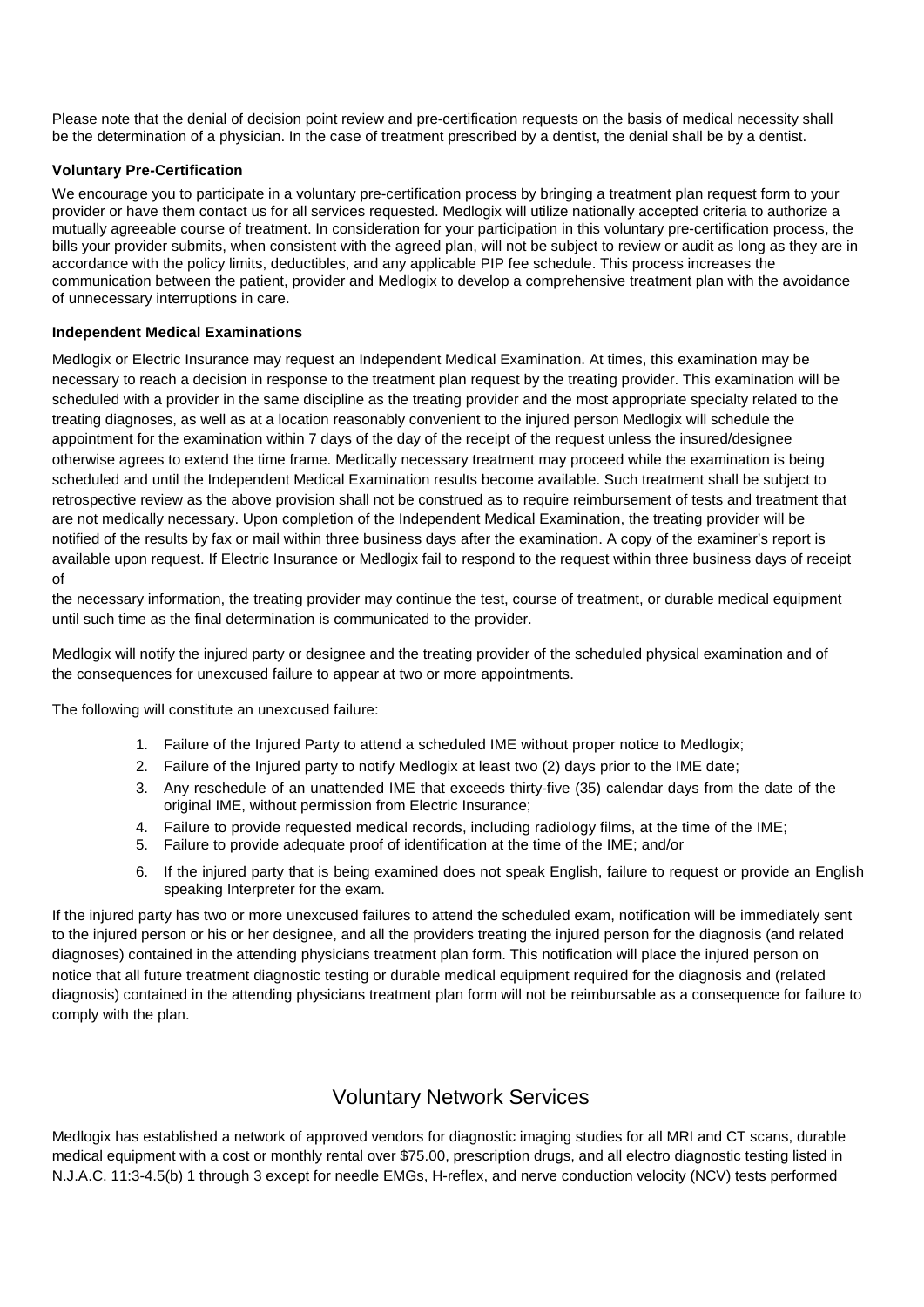Please note that the denial of decision point review and pre-certification requests on the basis of medical necessity shall be the determination of a physician. In the case of treatment prescribed by a dentist, the denial shall be by a dentist.

#### **Voluntary Pre-Certification**

We encourage you to participate in a voluntary pre-certification process by bringing a treatment plan request form to your provider or have them contact us for all services requested. Medlogix will utilize nationally accepted criteria to authorize a mutually agreeable course of treatment. In consideration for your participation in this voluntary pre-certification process, the bills your provider submits, when consistent with the agreed plan, will not be subject to review or audit as long as they are in accordance with the policy limits, deductibles, and any applicable PIP fee schedule. This process increases the communication between the patient, provider and Medlogix to develop a comprehensive treatment plan with the avoidance of unnecessary interruptions in care.

#### **Independent Medical Examinations**

Medlogix or Electric Insurance may request an Independent Medical Examination. At times, this examination may be necessary to reach a decision in response to the treatment plan request by the treating provider. This examination will be scheduled with a provider in the same discipline as the treating provider and the most appropriate specialty related to the treating diagnoses, as well as at a location reasonably convenient to the injured person Medlogix will schedule the appointment for the examination within 7 days of the day of the receipt of the request unless the insured/designee otherwise agrees to extend the time frame. Medically necessary treatment may proceed while the examination is being scheduled and until the Independent Medical Examination results become available. Such treatment shall be subject to retrospective review as the above provision shall not be construed as to require reimbursement of tests and treatment that are not medically necessary. Upon completion of the Independent Medical Examination, the treating provider will be notified of the results by fax or mail within three business days after the examination. A copy of the examiner's report is available upon request. If Electric Insurance or Medlogix fail to respond to the request within three business days of receipt of

the necessary information, the treating provider may continue the test, course of treatment, or durable medical equipment until such time as the final determination is communicated to the provider.

Medlogix will notify the injured party or designee and the treating provider of the scheduled physical examination and of the consequences for unexcused failure to appear at two or more appointments.

The following will constitute an unexcused failure:

- 1. Failure of the Injured Party to attend a scheduled IME without proper notice to Medlogix;
- 2. Failure of the Injured party to notify Medlogix at least two (2) days prior to the IME date;
- 3. Any reschedule of an unattended IME that exceeds thirty-five (35) calendar days from the date of the original IME, without permission from Electric Insurance;
- 4. Failure to provide requested medical records, including radiology films, at the time of the IME;
- 5. Failure to provide adequate proof of identification at the time of the IME; and/or
- 6. If the injured party that is being examined does not speak English, failure to request or provide an English speaking Interpreter for the exam.

If the injured party has two or more unexcused failures to attend the scheduled exam, notification will be immediately sent to the injured person or his or her designee, and all the providers treating the injured person for the diagnosis (and related diagnoses) contained in the attending physicians treatment plan form. This notification will place the injured person on notice that all future treatment diagnostic testing or durable medical equipment required for the diagnosis and (related diagnosis) contained in the attending physicians treatment plan form will not be reimbursable as a consequence for failure to comply with the plan.

## Voluntary Network Services

Medlogix has established a network of approved vendors for diagnostic imaging studies for all MRI and CT scans, durable medical equipment with a cost or monthly rental over \$75.00, prescription drugs, and all electro diagnostic testing listed in N.J.A.C. 11:3-4.5(b) 1 through 3 except for needle EMGs, H-reflex, and nerve conduction velocity (NCV) tests performed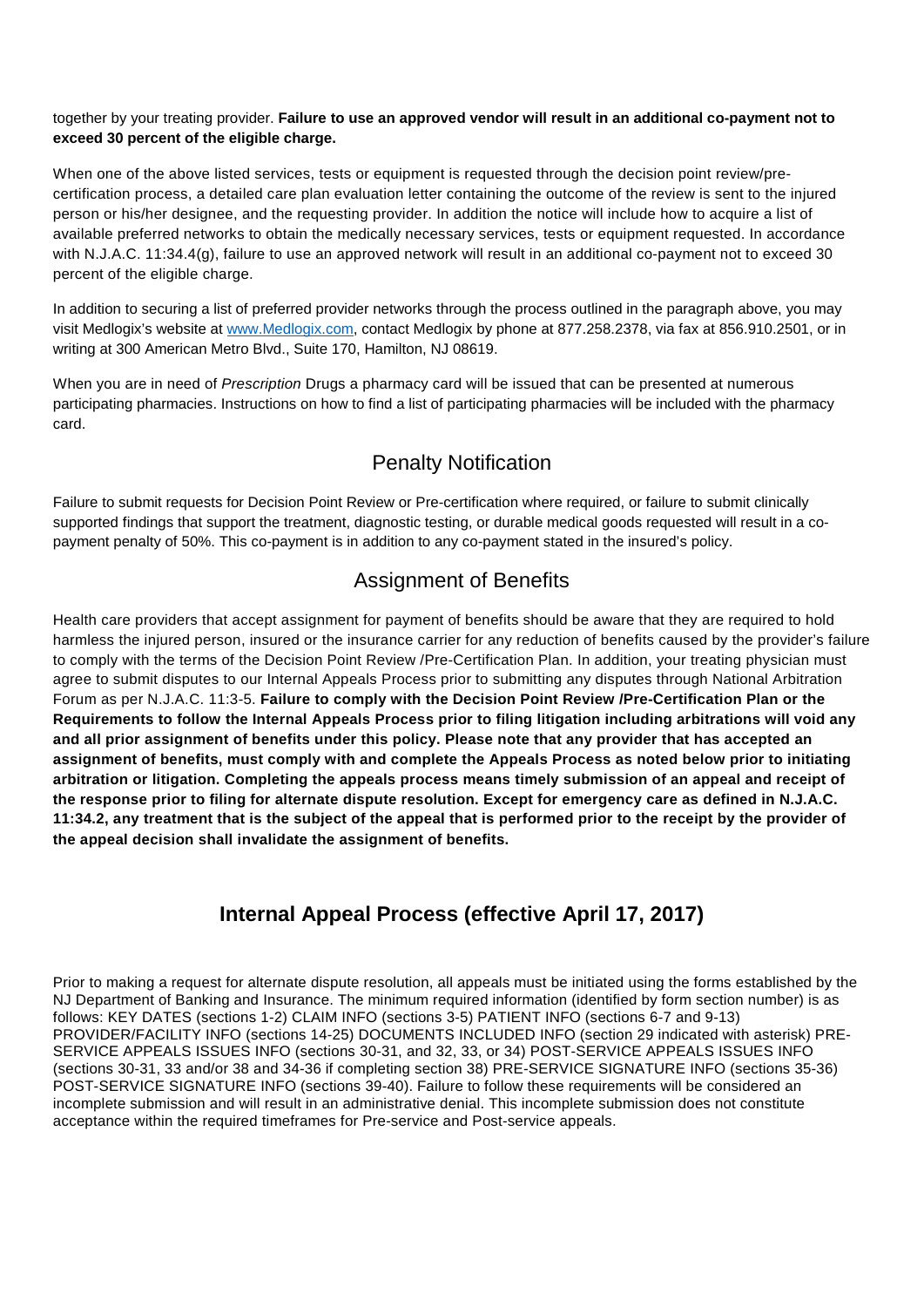#### together by your treating provider. **Failure to use an approved vendor will result in an additional co-payment not to exceed 30 percent of the eligible charge.**

When one of the above listed services, tests or equipment is requested through the decision point review/precertification process, a detailed care plan evaluation letter containing the outcome of the review is sent to the injured person or his/her designee, and the requesting provider. In addition the notice will include how to acquire a list of available preferred networks to obtain the medically necessary services, tests or equipment requested. In accordance with N.J.A.C. 11:34.4(g), failure to use an approved network will result in an additional co-payment not to exceed 30 percent of the eligible charge.

In addition to securing a list of preferred provider networks through the process outlined in the paragraph above, you may visit Medlogix's website at [www.Medlogix.com,](http://www.medlogix.com/) contact Medlogix by phone at 877.258.2378, via fax at 856.910.2501, or in writing at 300 American Metro Blvd., Suite 170, Hamilton, NJ 08619.

When you are in need of *Prescription* Drugs a pharmacy card will be issued that can be presented at numerous participating pharmacies. Instructions on how to find a list of participating pharmacies will be included with the pharmacy card.

## Penalty Notification

Failure to submit requests for Decision Point Review or Pre-certification where required, or failure to submit clinically supported findings that support the treatment, diagnostic testing, or durable medical goods requested will result in a copayment penalty of 50%. This co-payment is in addition to any co-payment stated in the insured's policy.

## Assignment of Benefits

Health care providers that accept assignment for payment of benefits should be aware that they are required to hold harmless the injured person, insured or the insurance carrier for any reduction of benefits caused by the provider's failure to comply with the terms of the Decision Point Review /Pre-Certification Plan. In addition, your treating physician must agree to submit disputes to our Internal Appeals Process prior to submitting any disputes through National Arbitration Forum as per N.J.A.C. 11:3-5. **Failure to comply with the Decision Point Review /Pre-Certification Plan or the Requirements to follow the Internal Appeals Process prior to filing litigation including arbitrations will void any and all prior assignment of benefits under this policy. Please note that any provider that has accepted an assignment of benefits, must comply with and complete the Appeals Process as noted below prior to initiating arbitration or litigation. Completing the appeals process means timely submission of an appeal and receipt of the response prior to filing for alternate dispute resolution. Except for emergency care as defined in N.J.A.C. 11:34.2, any treatment that is the subject of the appeal that is performed prior to the receipt by the provider of the appeal decision shall invalidate the assignment of benefits.**

# **Internal Appeal Process (effective April 17, 2017)**

Prior to making a request for alternate dispute resolution, all appeals must be initiated using the forms established by the NJ Department of Banking and Insurance. The minimum required information (identified by form section number) is as follows: KEY DATES (sections 1-2) CLAIM INFO (sections 3-5) PATIENT INFO (sections 6-7 and 9-13) PROVIDER/FACILITY INFO (sections 14-25) DOCUMENTS INCLUDED INFO (section 29 indicated with asterisk) PRE-SERVICE APPEALS ISSUES INFO (sections 30-31, and 32, 33, or 34) POST-SERVICE APPEALS ISSUES INFO (sections 30-31, 33 and/or 38 and 34-36 if completing section 38) PRE-SERVICE SIGNATURE INFO (sections 35-36) POST-SERVICE SIGNATURE INFO (sections 39-40). Failure to follow these requirements will be considered an incomplete submission and will result in an administrative denial. This incomplete submission does not constitute acceptance within the required timeframes for Pre-service and Post-service appeals.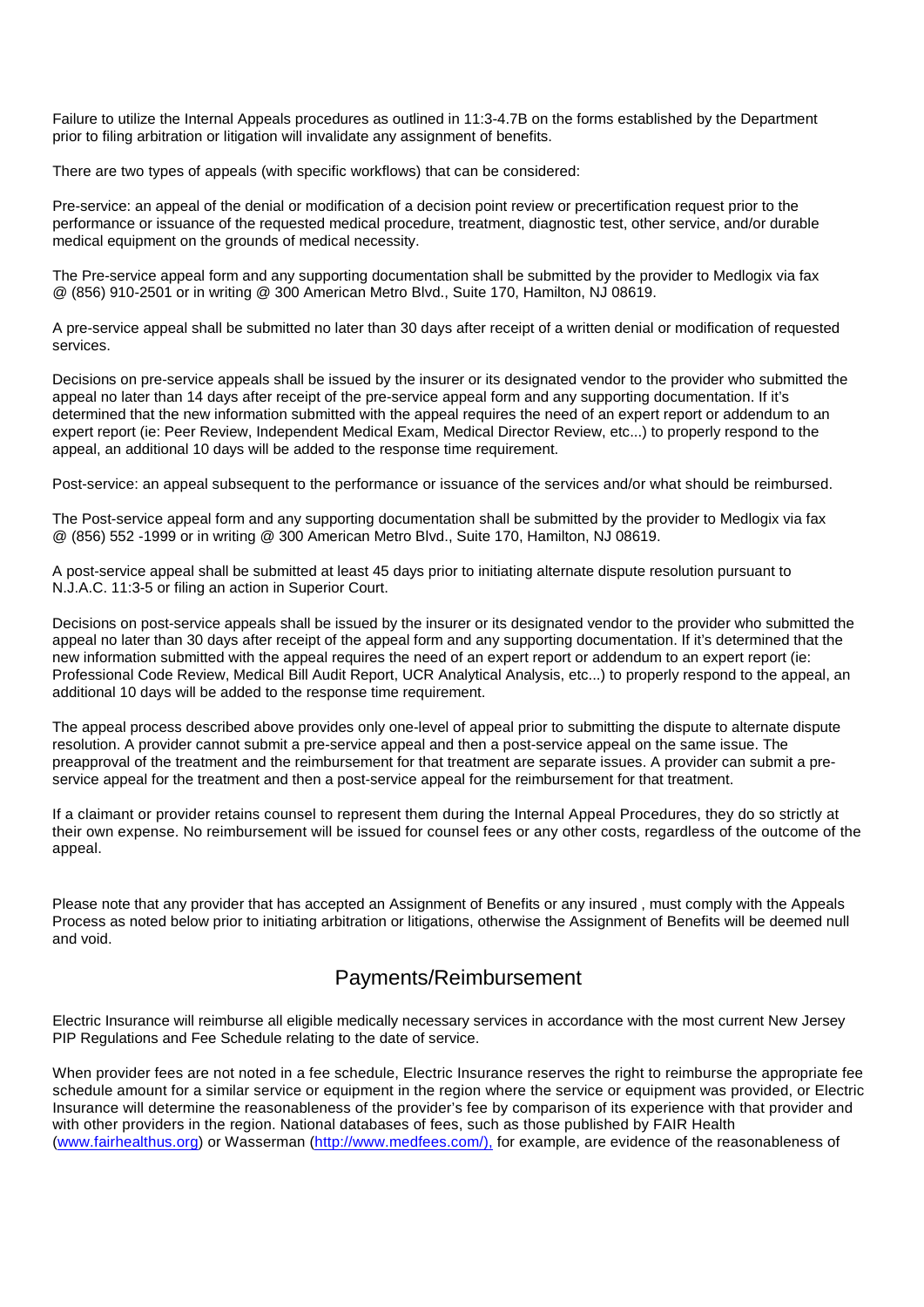Failure to utilize the Internal Appeals procedures as outlined in 11:3-4.7B on the forms established by the Department prior to filing arbitration or litigation will invalidate any assignment of benefits.

There are two types of appeals (with specific workflows) that can be considered:

Pre-service: an appeal of the denial or modification of a decision point review or precertification request prior to the performance or issuance of the requested medical procedure, treatment, diagnostic test, other service, and/or durable medical equipment on the grounds of medical necessity.

The Pre-service appeal form and any supporting documentation shall be submitted by the provider to Medlogix via fax @ (856) 910-2501 or in writing @ 300 American Metro Blvd., Suite 170, Hamilton, NJ 08619.

A pre-service appeal shall be submitted no later than 30 days after receipt of a written denial or modification of requested services.

Decisions on pre-service appeals shall be issued by the insurer or its designated vendor to the provider who submitted the appeal no later than 14 days after receipt of the pre-service appeal form and any supporting documentation. If it's determined that the new information submitted with the appeal requires the need of an expert report or addendum to an expert report (ie: Peer Review, Independent Medical Exam, Medical Director Review, etc...) to properly respond to the appeal, an additional 10 days will be added to the response time requirement.

Post-service: an appeal subsequent to the performance or issuance of the services and/or what should be reimbursed.

The Post-service appeal form and any supporting documentation shall be submitted by the provider to Medlogix via fax @ (856) 552 -1999 or in writing @ 300 American Metro Blvd., Suite 170, Hamilton, NJ 08619.

A post-service appeal shall be submitted at least 45 days prior to initiating alternate dispute resolution pursuant to N.J.A.C. 11:3-5 or filing an action in Superior Court.

Decisions on post-service appeals shall be issued by the insurer or its designated vendor to the provider who submitted the appeal no later than 30 days after receipt of the appeal form and any supporting documentation. If it's determined that the new information submitted with the appeal requires the need of an expert report or addendum to an expert report (ie: Professional Code Review, Medical Bill Audit Report, UCR Analytical Analysis, etc...) to properly respond to the appeal, an additional 10 days will be added to the response time requirement.

The appeal process described above provides only one-level of appeal prior to submitting the dispute to alternate dispute resolution. A provider cannot submit a pre-service appeal and then a post-service appeal on the same issue. The preapproval of the treatment and the reimbursement for that treatment are separate issues. A provider can submit a preservice appeal for the treatment and then a post-service appeal for the reimbursement for that treatment.

If a claimant or provider retains counsel to represent them during the Internal Appeal Procedures, they do so strictly at their own expense. No reimbursement will be issued for counsel fees or any other costs, regardless of the outcome of the appeal.

Please note that any provider that has accepted an Assignment of Benefits or any insured , must comply with the Appeals Process as noted below prior to initiating arbitration or litigations, otherwise the Assignment of Benefits will be deemed null and void.

### Payments/Reimbursement

Electric Insurance will reimburse all eligible medically necessary services in accordance with the most current New Jersey PIP Regulations and Fee Schedule relating to the date of service.

When provider fees are not noted in a fee schedule, Electric Insurance reserves the right to reimburse the appropriate fee schedule amount for a similar service or equipment in the region where the service or equipment was provided, or Electric Insurance will determine the reasonableness of the provider's fee by comparison of its experience with that provider and with other providers in the region. National databases of fees, such as those published by FAIR Health [\(www.fairhealthus.org\)](http://www.fairhealthus.org/) or Wasserman [\(http://www.medfees.com/\),](http://www.medfees.com/),) for example, are evidence of the reasonableness of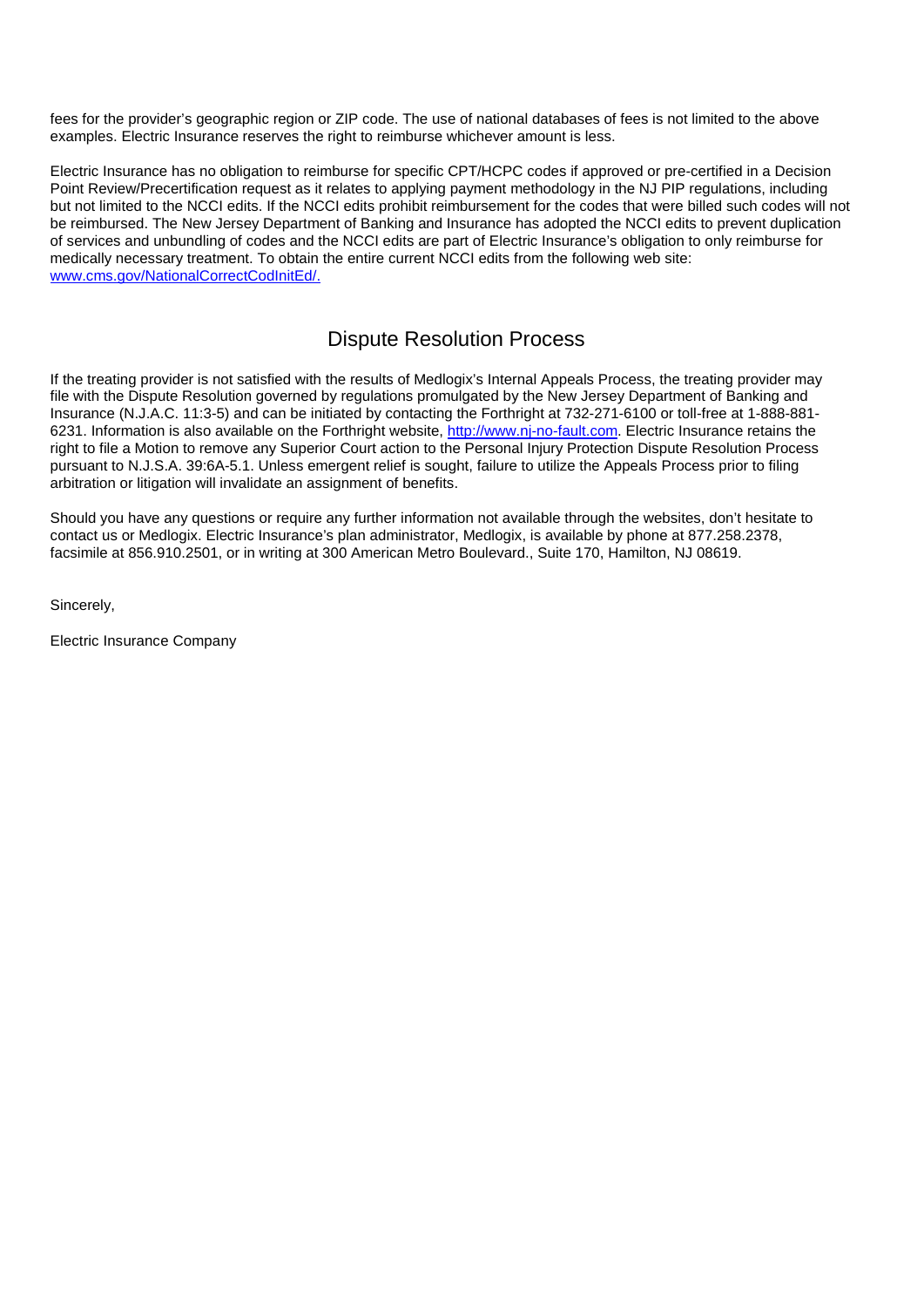fees for the provider's geographic region or ZIP code. The use of national databases of fees is not limited to the above examples. Electric Insurance reserves the right to reimburse whichever amount is less.

Electric Insurance has no obligation to reimburse for specific CPT/HCPC codes if approved or pre-certified in a Decision Point Review/Precertification request as it relates to applying payment methodology in the NJ PIP regulations, including but not limited to the NCCI edits. If the NCCI edits prohibit reimbursement for the codes that were billed such codes will not be reimbursed. The New Jersey Department of Banking and Insurance has adopted the NCCI edits to prevent duplication of services and unbundling of codes and the NCCI edits are part of Electric Insurance's obligation to only reimburse for medically necessary treatment. To obtain the entire current NCCI edits from the following web site: [www.cms.gov/NationalCorrectCodInitEd/.](http://www.cms.gov/NationalCorrectCodInitEd/)

### Dispute Resolution Process

If the treating provider is not satisfied with the results of Medlogix's Internal Appeals Process, the treating provider may file with the Dispute Resolution governed by regulations promulgated by the New Jersey Department of Banking and Insurance (N.J.A.C. 11:3-5) and can be initiated by contacting the Forthright at 732-271-6100 or toll-free at 1-888-881 6231. Information is also available on the Forthright website, [http://www.nj-no-fault.com.](http://www.nj-no-fault.com/) Electric Insurance retains the right to file a Motion to remove any Superior Court action to the Personal Injury Protection Dispute Resolution Process pursuant to N.J.S.A. 39:6A-5.1. Unless emergent relief is sought, failure to utilize the Appeals Process prior to filing arbitration or litigation will invalidate an assignment of benefits.

Should you have any questions or require any further information not available through the websites, don't hesitate to contact us or Medlogix. Electric Insurance's plan administrator, Medlogix, is available by phone at 877.258.2378, facsimile at 856.910.2501, or in writing at 300 American Metro Boulevard., Suite 170, Hamilton, NJ 08619.

Sincerely,

Electric Insurance Company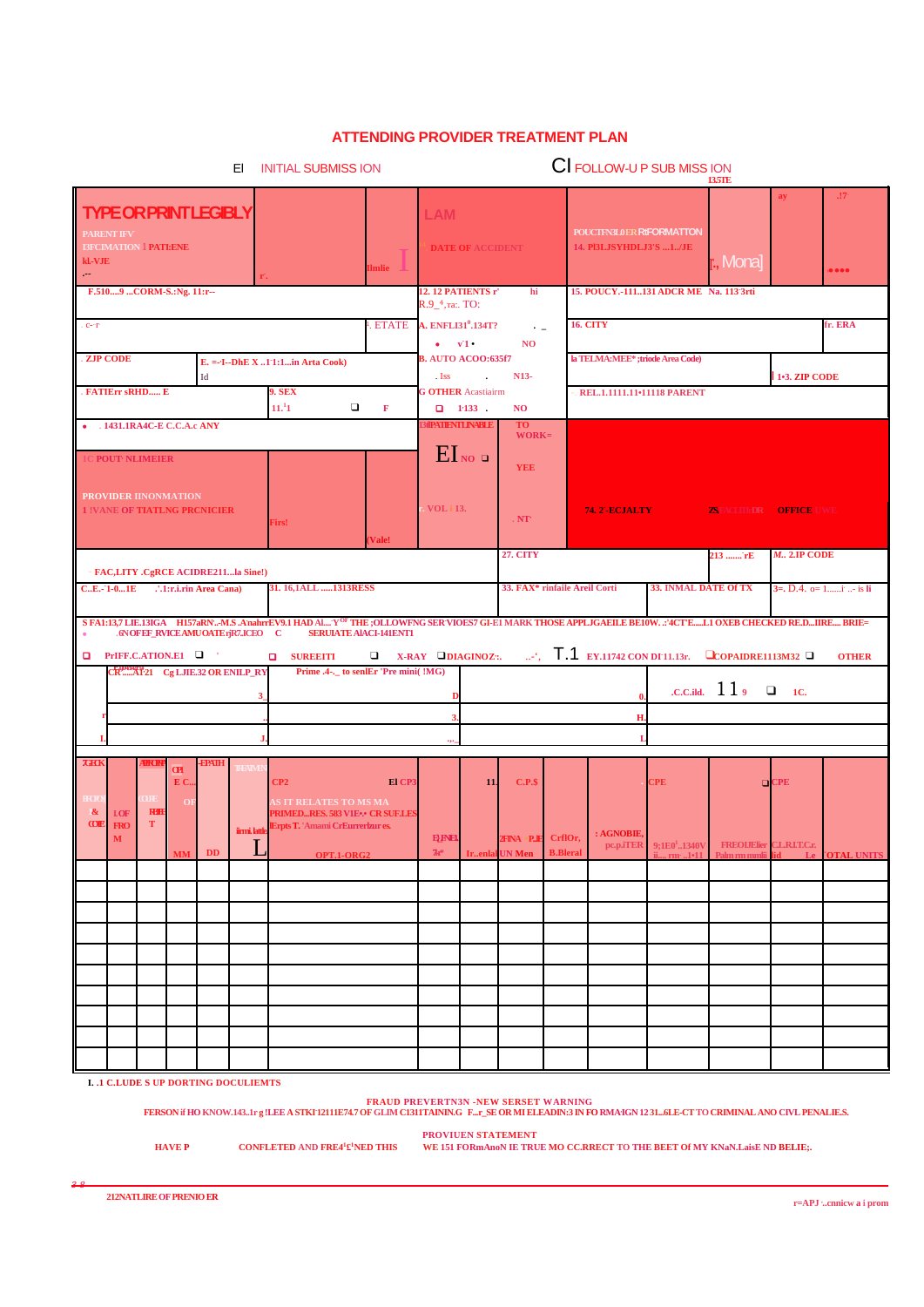#### **ATTENDING PROVIDER TREATMENT PLAN**

| EI.<br><b>INITIAL SUBMISS ION</b>                                                                                                                                                                     |                        |                                   |                                                                                  |            |                                                                                                     | CI FOLLOW-U P SUB MISS ION<br>13.5TE                          |                                     |                                    |  |                                  |                                                 |                                        |                                                                    |                            |                                           |
|-------------------------------------------------------------------------------------------------------------------------------------------------------------------------------------------------------|------------------------|-----------------------------------|----------------------------------------------------------------------------------|------------|-----------------------------------------------------------------------------------------------------|---------------------------------------------------------------|-------------------------------------|------------------------------------|--|----------------------------------|-------------------------------------------------|----------------------------------------|--------------------------------------------------------------------|----------------------------|-------------------------------------------|
| <b>TYPE OR PRINT LEGIBLY</b><br><b>PARENT IFV</b><br><b>I3FCIMATION   PATI:ENE</b><br>kl.-VJE<br>Gerald St                                                                                            |                        |                                   |                                                                                  |            | <b>Imlie</b>                                                                                        | <b>LAM</b>                                                    | <b>DATE OF ACCIDENT</b>             |                                    |  |                                  | 14. PI3LJSYHDLJ3'S 1/JE                         | POUCTFN3L0ER RtFORMATTON               | r., Monaj                                                          | ay                         | $.17 -$<br>• • • •                        |
| F.5109  CORM-S.: Ng. 11:r--                                                                                                                                                                           |                        |                                   |                                                                                  |            |                                                                                                     | 12. 12 PATIENTS r'<br>R.9_4, ra:. TO:                         |                                     | hi                                 |  |                                  |                                                 | 15. POUCY.-111131 ADCR ME Na. 113'3rti |                                                                    |                            |                                           |
| . C- $\mathbf{T}^*$                                                                                                                                                                                   |                        |                                   |                                                                                  |            | ETATE A. ENFLI31 <sup>0</sup> .134T?<br>$\rightarrow$ $\pm$<br>$\bullet$ $\mathbf{v1}$<br><b>NO</b> |                                                               |                                     | <b>16. CITY</b>                    |  |                                  |                                                 | fr. ERA                                |                                                                    |                            |                                           |
| . ZJP CODE<br>$E. = -I - DhE X  1'1:1$ in Arta Cook)                                                                                                                                                  |                        |                                   |                                                                                  |            |                                                                                                     | <b>B. AUTO ACOO:635f7</b><br>$\cdot$ Iss<br><b>Contractor</b> |                                     | N13-                               |  | la TELMA:MEE*; triode Area Code) |                                                 |                                        |                                                                    |                            |                                           |
| . FATIErr sRHD E                                                                                                                                                                                      | Id<br><b>9. SEX</b>    |                                   |                                                                                  |            | <b>G OTHER Acastiairm</b>                                                                           |                                                               |                                     |                                    |  |                                  | REL.1.1111.11•11118 PARENT                      |                                        | 1-3. ZIP CODE                                                      |                            |                                           |
| . 1431.1RA4C-E C.C.A.c ANY                                                                                                                                                                            |                        |                                   | 11. <sup>1</sup> 1                                                               | $\Box$     | $\mathbf F$                                                                                         |                                                               | $1133$ .<br><b>30PATIENTLINABLE</b> | <b>NO</b><br><b>TO</b><br>$WORK =$ |  |                                  |                                                 |                                        |                                                                    |                            |                                           |
| C POUT <sup>,</sup> NLIMEIER                                                                                                                                                                          |                        |                                   |                                                                                  |            |                                                                                                     |                                                               | $EI_{NO}$                           | <b>YEE</b>                         |  |                                  |                                                 |                                        |                                                                    |                            |                                           |
| PROVIDER IINONMATION<br><b>1 !VANE OF TIATLNG PRCNICIER</b>                                                                                                                                           |                        |                                   | Firs!                                                                            |            | Vale!                                                                                               | <b>VOL</b> i 13.                                              |                                     | $NT^*$                             |  |                                  | <b>74. 2 - ECJALTY</b>                          |                                        | <b><i>AEACLITEDR OFFICE UWE</i></b>                                |                            |                                           |
| - FAC,LITY .CgRCE ACIDRE211la Sine!)                                                                                                                                                                  |                        |                                   |                                                                                  |            |                                                                                                     |                                                               |                                     | <b>27. CITY</b>                    |  |                                  |                                                 |                                        | 213 <sup>-</sup> rE                                                | $M1$ . 2.IP CODE           |                                           |
| $C.E.-1-01E$                                                                                                                                                                                          | '.1:r.i.rin Area Cana) |                                   | 31. 16.1ALL 1313RESS                                                             |            |                                                                                                     | 33. FAX* rinfaile Areil Corti                                 |                                     |                                    |  |                                  | 33. INMAL DATE Of TX                            |                                        |                                                                    | $3=$ , D.4. o= 1i. - is li |                                           |
| S FA1:13,7 LIE.13IGA H157aRN-MS.AnahrrEV9.1 HAD AlY <sup>OF</sup> THE ;OLLOWFNG SER VIOES7 GI-E1 MARK THOSE APPLJGAEILE BE10W:'4CT'EL1 OXEB CHECKED RE.DIIRE BRIE=<br>.6NOFEF_RVICEAMUOATErjR7.ICEO C |                        |                                   |                                                                                  |            | <b>SERUIATE AIACI-141ENT1</b>                                                                       |                                                               |                                     |                                    |  |                                  |                                                 |                                        |                                                                    |                            |                                           |
| $\Box$ PrIFF.C.ATION.E1 $\Box$<br>CRAMMAT21 Cg LJIE.32 OR ENILP_RY                                                                                                                                    |                        |                                   | <b>Q</b> SUREEITI                                                                |            | $\Box$ X-RAY $\Box$ DIAGINOZ:.<br>Prime .4-._ to senIEr 'Pre mini(!MG)                              |                                                               |                                     |                                    |  |                                  |                                                 |                                        | $\therefore$ , $\top$ .1 EY.11742 CON DI 11.13r. COPAIDRE1113M32 C |                            | <b>OTHER</b>                              |
|                                                                                                                                                                                                       |                        | $3_{-}$                           |                                                                                  |            |                                                                                                     |                                                               |                                     |                                    |  |                                  |                                                 |                                        | $.c.c.$ ild. $119$                                                 | $\Box$ 10.                 |                                           |
|                                                                                                                                                                                                       |                        |                                   |                                                                                  |            |                                                                                                     | H                                                             |                                     |                                    |  |                                  |                                                 |                                        |                                                                    |                            |                                           |
| <b>THK</b><br><u>HROR</u><br><b>CPI</b>                                                                                                                                                               | <b>FPATH</b>           | <b>EXIV</b>                       |                                                                                  |            |                                                                                                     |                                                               |                                     |                                    |  |                                  |                                                 |                                        |                                                                    |                            |                                           |
| E C<br><b>THE</b><br>OF                                                                                                                                                                               |                        |                                   | CP2<br><b>AS IT RELATES TO MS MA</b>                                             |            | El CP.                                                                                              |                                                               | 11.                                 | C.P.                               |  |                                  |                                                 | <b>CPE</b>                             |                                                                    | $Q$ CPE                    |                                           |
| $\boldsymbol{\alpha}$<br><b>RdH</b><br><b>LOF</b><br><b>COMP</b><br>T.<br><b>FRO</b><br>М                                                                                                             |                        | iirmi, lattk<br>$\mathbf{r}$<br>⊔ | <b>PRIMEDRES. 583 V1E  CR SUF.LE</b><br><b>IErpts T. 'Amami CrEurrerlzur es.</b> |            |                                                                                                     | <b>EREL</b>                                                   |                                     |                                    |  |                                  | <b>2FNA P.E</b> CrflOr, : AGNOBIE,<br>pc.p.iTER |                                        | $9;1E011340V$ FREOLJElier CL.R.I.T.C.r.                            |                            |                                           |
| <b>MM</b>                                                                                                                                                                                             | DD                     |                                   |                                                                                  | OPT.1-ORG2 |                                                                                                     | $7x^*$                                                        |                                     | Irenlal UN Men B.Bleral            |  |                                  |                                                 |                                        |                                                                    |                            | i rm 1911 Palm rm mmlii lid Le OTAL UNITS |
|                                                                                                                                                                                                       |                        |                                   |                                                                                  |            |                                                                                                     |                                                               |                                     |                                    |  |                                  |                                                 |                                        |                                                                    |                            |                                           |
|                                                                                                                                                                                                       |                        |                                   |                                                                                  |            |                                                                                                     |                                                               |                                     |                                    |  |                                  |                                                 |                                        |                                                                    |                            |                                           |
|                                                                                                                                                                                                       |                        |                                   |                                                                                  |            |                                                                                                     |                                                               |                                     |                                    |  |                                  |                                                 |                                        |                                                                    |                            |                                           |
|                                                                                                                                                                                                       |                        |                                   |                                                                                  |            |                                                                                                     |                                                               |                                     |                                    |  |                                  |                                                 |                                        |                                                                    |                            |                                           |
|                                                                                                                                                                                                       |                        |                                   |                                                                                  |            |                                                                                                     |                                                               |                                     |                                    |  |                                  |                                                 |                                        |                                                                    |                            |                                           |
|                                                                                                                                                                                                       |                        |                                   |                                                                                  |            |                                                                                                     |                                                               |                                     |                                    |  |                                  |                                                 |                                        |                                                                    |                            |                                           |
|                                                                                                                                                                                                       |                        |                                   |                                                                                  |            |                                                                                                     |                                                               |                                     |                                    |  |                                  |                                                 |                                        |                                                                    |                            |                                           |
| <b>I. .1 C.LUDE S UP DORTING DOCULIEMTS</b>                                                                                                                                                           |                        |                                   |                                                                                  |            |                                                                                                     |                                                               |                                     |                                    |  |                                  |                                                 |                                        |                                                                    |                            |                                           |

FRAUD PREVERTN3N -NEW SERSET WARNING<br>FERSON if HO KNOW.143..1rg !LEE A STKI 12111E74.7 OF GLIM CI311TAINING F…r\_SE OR MI ELEADIN:3 IN FO RMA1GN 1231…6LE-CT TO CRIMINAL ANO CIVL PENALIE.S.

**PROVIUEN STATEMENT** 

**HAVE P** 

CONFLETED AND FRE4 $^1$ £<sup>1</sup>NED THIS

WE 151 FORmAnoN IE TRUE MO CC.RRECT TO THE BEET Of MY KNaN.LaisE ND BELIE;.

212NATLIRE OF PRENIO ER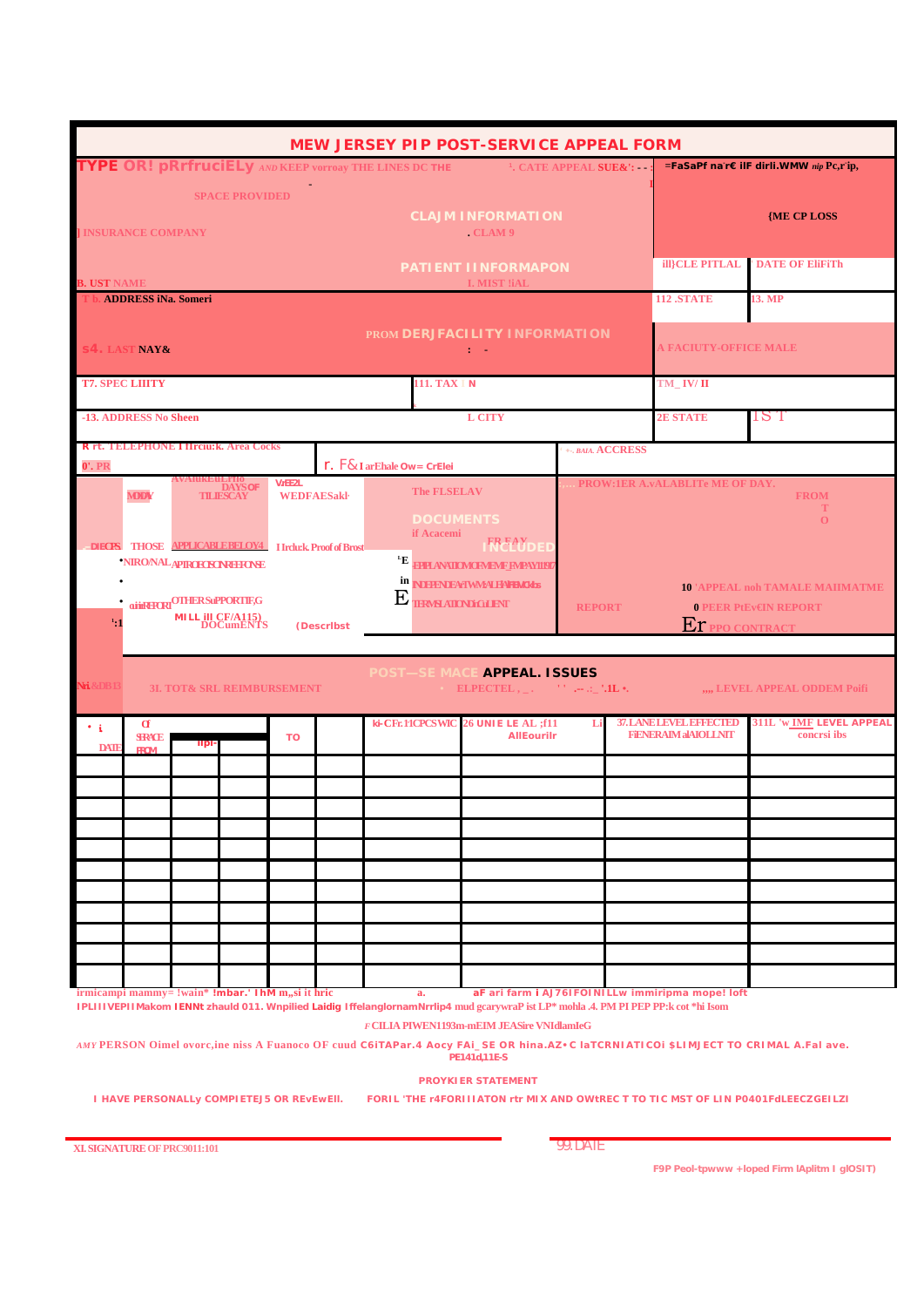| <b>MEW JERSEY PIP POST-SERVICE APPEAL FORM</b>                                                       |                                                                                                                                                                                                                                                                                   |                                                                  |  |            |                                                                                                                                                                                                     |                            |                        |                                                                                                                                                                                   |                |                              |                                                                                 |                                                                                                                                                                                                                         |  |  |
|------------------------------------------------------------------------------------------------------|-----------------------------------------------------------------------------------------------------------------------------------------------------------------------------------------------------------------------------------------------------------------------------------|------------------------------------------------------------------|--|------------|-----------------------------------------------------------------------------------------------------------------------------------------------------------------------------------------------------|----------------------------|------------------------|-----------------------------------------------------------------------------------------------------------------------------------------------------------------------------------|----------------|------------------------------|---------------------------------------------------------------------------------|-------------------------------------------------------------------------------------------------------------------------------------------------------------------------------------------------------------------------|--|--|
|                                                                                                      |                                                                                                                                                                                                                                                                                   |                                                                  |  |            |                                                                                                                                                                                                     |                            |                        | TYPE OR! pRrfruciELy AND KEEP vorroay THE LINES DC THE <b>THE STATE APPEAL SUE&amp;':</b>                                                                                         |                |                              |                                                                                 | =FaSaPf na r€ ilF dirli. WMW nip Pc,r ip,                                                                                                                                                                               |  |  |
| <b>SPACE PROVIDED</b><br><b>CLAJM INFORMATION</b><br><b>I INSURANCE COMPANY</b><br>CLAM <sub>9</sub> |                                                                                                                                                                                                                                                                                   |                                                                  |  |            |                                                                                                                                                                                                     |                            |                        | <b>{ME CP LOSS</b>                                                                                                                                                                |                |                              |                                                                                 |                                                                                                                                                                                                                         |  |  |
| PATIENT IINFORMAPON                                                                                  |                                                                                                                                                                                                                                                                                   |                                                                  |  |            |                                                                                                                                                                                                     |                            |                        |                                                                                                                                                                                   | ill}CLE PITLAL | <b>DATE OF EliFiTh</b>       |                                                                                 |                                                                                                                                                                                                                         |  |  |
| <b>I. MIST !iAL</b><br><b>B. UST NAME</b><br>T b. ADDRESS iNa. Someri                                |                                                                                                                                                                                                                                                                                   |                                                                  |  |            |                                                                                                                                                                                                     |                            |                        |                                                                                                                                                                                   |                | <b>112 .STATE</b>            | 13. MP                                                                          |                                                                                                                                                                                                                         |  |  |
| PROM DERJFACILITY INFORMATION<br><b>S4. LAST NAY&amp;</b><br>t in                                    |                                                                                                                                                                                                                                                                                   |                                                                  |  |            |                                                                                                                                                                                                     |                            |                        |                                                                                                                                                                                   |                | <b>A FACIUTY-OFFICE MALE</b> |                                                                                 |                                                                                                                                                                                                                         |  |  |
|                                                                                                      | <b>T7. SPEC LIIITY</b>                                                                                                                                                                                                                                                            |                                                                  |  |            |                                                                                                                                                                                                     |                            | 111. TAX I N           |                                                                                                                                                                                   |                |                              | TM IV/II                                                                        |                                                                                                                                                                                                                         |  |  |
|                                                                                                      | -13. ADDRESS No Sheen                                                                                                                                                                                                                                                             |                                                                  |  |            |                                                                                                                                                                                                     |                            |                        | <b>L CITY</b>                                                                                                                                                                     |                |                              | <b>2E STATE</b>                                                                 | 1S T                                                                                                                                                                                                                    |  |  |
| 0'.PR                                                                                                |                                                                                                                                                                                                                                                                                   | <b>R</b> rt. TELEPHONE Hirciu: k. Area Cocks                     |  |            |                                                                                                                                                                                                     | r. F& I arEhale Ow= CrElei |                        |                                                                                                                                                                                   |                | +-, BAIA, ACCRESS            |                                                                                 |                                                                                                                                                                                                                         |  |  |
|                                                                                                      | <b>VIEEZL</b><br><b>DAYS OF</b><br><b>MDDW</b><br><b>WEDFAESakl</b><br><b>TILIESCAY</b><br>DIECTS THOSE APPLICABLE BELOY4 Hrdu:k. Proof of Brost<br><b>NIRO/NALAPIROECNONAHONE</b><br><b>QUIRERCRI<sup>OTHER</sup>SuPPORTIF,G</b><br><b>MILL III CF/A115)</b><br>DOCumENTS<br>1:1 |                                                                  |  | (Describst | <b>The FLSELAV</b><br><b>DOCUMENTS</b><br>if Acacemi<br><b>FREAY<br/>NCLUDEL</b><br>ĿЕ<br><b>FPPLANATIOMOFMEMF FMPAYI1917</b><br>in NDFFFNDEAFIWMEAI FFAILTEMORES<br>$\rm E$ <b>THAN AILINEALEM</b> |                            |                        | PROW:1ER A.vALABLITe ME OF DAY.<br><b>FROM</b><br>т<br>$\mathbf{O}$<br><b>10 'APPEAL noh TAMALE MAIIMATME</b><br><b>0 PEER PtEv€IN REPORT</b><br><b>REPORT</b><br>ET PPO CONTRACT |                |                              |                                                                                 |                                                                                                                                                                                                                         |  |  |
| <b>Nri. &amp;DB</b> 13                                                                               |                                                                                                                                                                                                                                                                                   | 3I. TOT& SRL REIMBURSEMENT                                       |  |            |                                                                                                                                                                                                     |                            |                        | POST-SE MACE APPEAL. ISSUES<br>ELPECTEL, $\Box$ . $\Box$ $\Box$ $\Box$<br><b>26 UNIE LE AL ;f11</b>                                                                               |                |                              | 37. LANE LEVEL BRECTED                                                          | ",,, LEVEL APPEAL ODDEM Poifi                                                                                                                                                                                           |  |  |
| $\cdot$ i<br><b>DATI</b>                                                                             | $\alpha$<br><b>SFRACE</b><br><b>FROM</b>                                                                                                                                                                                                                                          | <b>ilpi</b><br>irmicampi mammy= !wain* !mbar.' IhM m,,si it hric |  | <b>TO</b>  |                                                                                                                                                                                                     |                            | ki-CFr.11CPCSWIC<br>a. | <b>AllEourilr</b><br>IPLIIIVEPIIMakom IENNt zhauld 011. Wnpilied Laidig IffelanglornamNrrlip4 mud gcarywraP ist LP* mohla .4. PM PIPEP PP:k cot *hi Isom                          |                |                              | <b>FIENERAIM aIAIOLLNIT</b><br>aF ari farm i AJ76IFOINILLw immiripma mope! loft | 311L 'w <b>IMF</b> LEVEL APPEAL<br>concrsi ibs                                                                                                                                                                          |  |  |
|                                                                                                      |                                                                                                                                                                                                                                                                                   | I HAVE PERSONALLy COMPIETEJ5 OR REVEWEII.                        |  |            |                                                                                                                                                                                                     |                            |                        | F CILIA PIWEN1193m-mEIM JEASire VNIdlamIeG<br>PE141d,11E-S<br><b>PROYKIER STATEMENT</b>                                                                                           |                |                              |                                                                                 | AMY PERSON Oimel ovorc,ine niss A Fuanoco OF cuud C6iTAPar.4 Aocy FAi_SE OR hina.AZ•C laTCRNIATICOI \$LIMJECT TO CRIMAL A.Fal ave.<br>FORIL 'THE r4FORITIATON rtr MIX AND OWtREC T TO TIC MST OF LIN P0401FdLEECZGEILZI |  |  |

XI. SIGNATURE OF PRC9011:101

**99. DATE** 

F9P Peol-tpwww + loped Firm IAplitm 1 gIOSIT)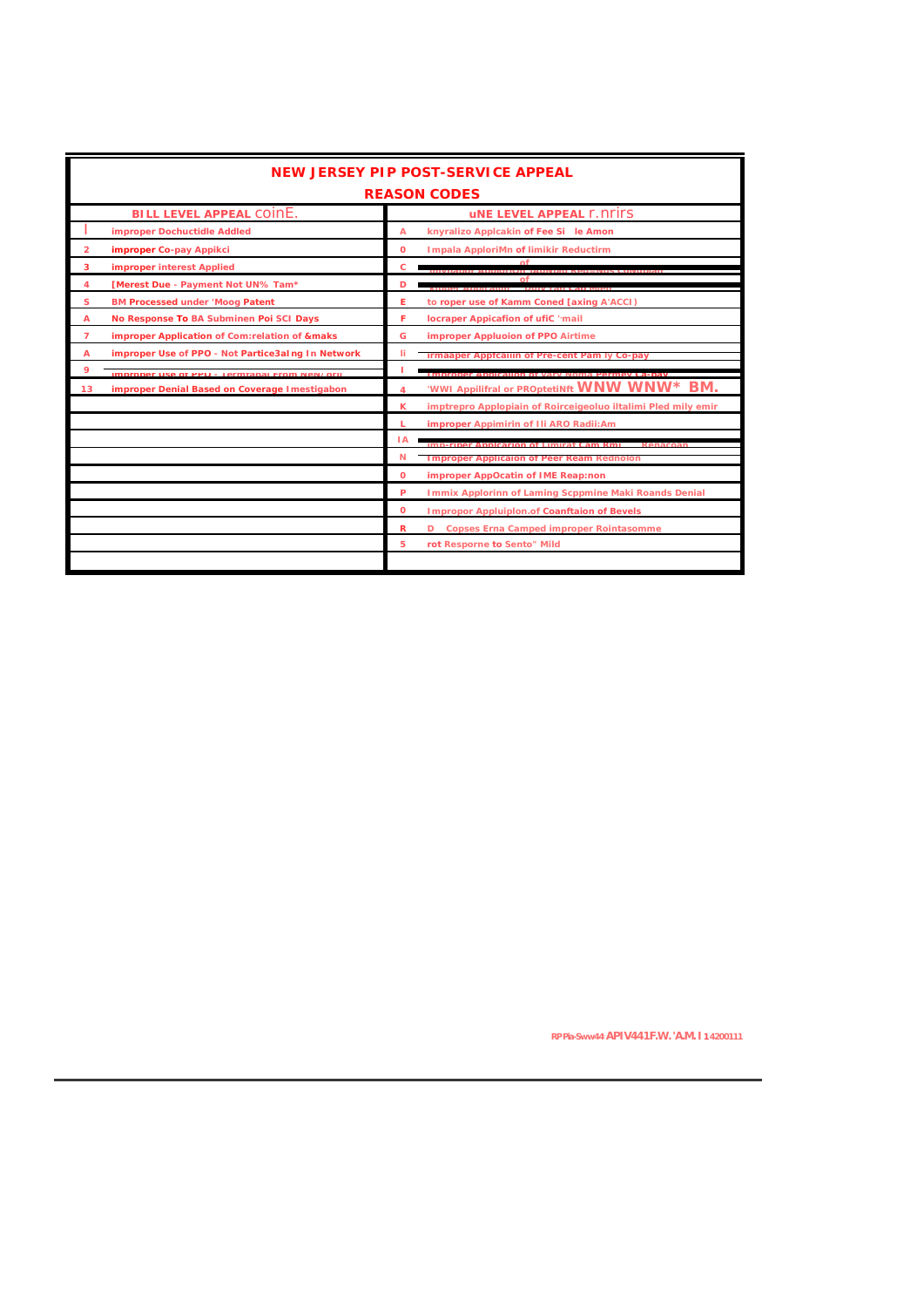|                | <b>NEW JERSEY PIP POST-SERVICE APPEAL</b>         |              |                                                               |  |  |  |  |  |  |  |
|----------------|---------------------------------------------------|--------------|---------------------------------------------------------------|--|--|--|--|--|--|--|
|                | <b>REASON CODES</b>                               |              |                                                               |  |  |  |  |  |  |  |
|                | <b>BILL LEVEL APPEAL COINE.</b>                   |              | <b>UNE LEVEL APPEAL F. NEITS</b>                              |  |  |  |  |  |  |  |
|                | improper Dochuctidle Addled                       | A            | knyralizo Applcakin of Fee Si le Amon                         |  |  |  |  |  |  |  |
| $\overline{2}$ | improper Co-pay Appikci                           | $\Omega$     | <b>Impala ApploriMn of limikir Reductirm</b>                  |  |  |  |  |  |  |  |
| 3              | <b>improper interest Applied</b>                  | c            |                                                               |  |  |  |  |  |  |  |
| 4              | [Merest Due - Payment Not UN% Tam*                | D            | nf                                                            |  |  |  |  |  |  |  |
| s              | <b>BM Processed under 'Moog Patent</b>            | Е            | to roper use of Kamm Coned [axing A'ACCI)                     |  |  |  |  |  |  |  |
| A              | No Response To BA Subminen Poi SCI Days           | F            | locraper Appicafion of ufiC 'mail                             |  |  |  |  |  |  |  |
| $\overline{7}$ | improper Application of Com:relation of &maks     | G            | improper Appluoion of PPO Airtime                             |  |  |  |  |  |  |  |
| A              | improper Use of PPO - Not Partice3aIng In Network | Ħ            | Irmaaper Apptcallin of Pre-cent Pam Iy Co-pay                 |  |  |  |  |  |  |  |
| 9              | Improper Lise of PPO - Termfabal From NeN/orli    |              | IMPROPE ADDICATION OF VARY NOMA PARMAY CA-DAV                 |  |  |  |  |  |  |  |
| 13             | improper Denial Based on Coverage Imestigabon     | 4            | 'WWI Appilifral or PROptetiNft WNW WNW* BM.                   |  |  |  |  |  |  |  |
|                |                                                   | ĸ            | imptrepro Applopiain of Roirceigeoluo iltalimi Pled mily emir |  |  |  |  |  |  |  |
|                |                                                   |              | improper Appimirin of Ili ARO Radii:Am                        |  |  |  |  |  |  |  |
|                |                                                   | 1A           |                                                               |  |  |  |  |  |  |  |
|                |                                                   | N            | Improper Application of Peer Ream Rednoton                    |  |  |  |  |  |  |  |
|                |                                                   | $\mathbf{o}$ | improper AppOcatin of IME Reap:non                            |  |  |  |  |  |  |  |
|                |                                                   | P            | Immix Applorinn of Laming Scppmine Maki Roands Denial         |  |  |  |  |  |  |  |
|                |                                                   | $\mathbf 0$  | <b>Impropor Appluiplon.of Coanftaion of Bevels</b>            |  |  |  |  |  |  |  |
|                |                                                   | R            | D Copses Erna Camped improper Rointasomme                     |  |  |  |  |  |  |  |
|                |                                                   | 5            | rot Resporne to Sento" Mild                                   |  |  |  |  |  |  |  |
|                |                                                   |              |                                                               |  |  |  |  |  |  |  |

RPPia-Sww44 APIV441F.W. 'A.M. I 14200111